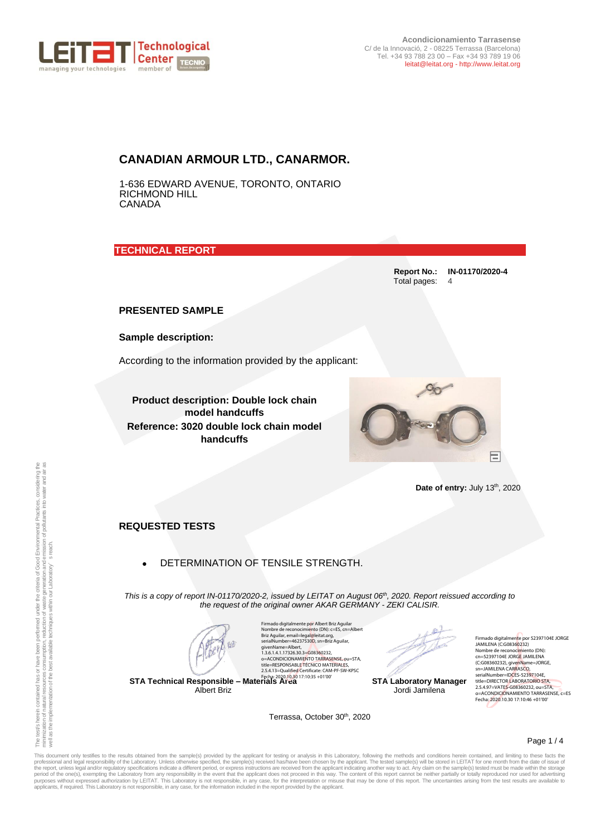

## **CANADIAN ARMOUR LTD., CANARMOR.**

1-636 EDWARD AVENUE, TORONTO, ONTARIO RICHMOND HILL **CANADA** 

**TECHNICAL REPORT** 

**Report No.: IN-01170/2020-4** Total pages: 4

**PRESENTED SAMPLE**

**Sample description:**

According to the information provided by the applicant:

**Product description: Double lock chain model handcuffs Reference: 3020 double lock chain model handcuffs**



Date of entry: July 13<sup>th</sup>, 2020

**REQUESTED TESTS**

## • DETERMINATION OF TENSILE STRENGTH.

*This is a copy of report IN-01170/2020-2, issued by LEITAT on August 06 th , 2020. Report reissued according to the request of the original owner AKAR GERMANY - ZEKI CALISIR.*

**STA Technical Responsible – Materials Area** Fecha: 2020.10.30 17:10:35 +01'00' Albert Briz

Firmado digitalmente por Albert Briz Aguilar<br>Nombre de reconocimiento (DN): c=E5, cn=Albert<br>Briz Aguilar, email=legal@leita.torg,<br>serialNumber=46237530D, sn=Briz Aguilar,<br>givenName=Albert,<br>1.3.6.1.4.1.17326.30.3=G08360232, o=ACONDICIONAMIENTO TARRASENSE, ou=STA, title=RESPONSABLE TÉCNICO MATERIALES, 2.5.4.13=Qualified Certificate: CAM-PF-SW-KPSC

Terrassa, October 30<sup>th</sup>, 2020

D.

**STA Laboratory Manager** Jordi Jamilena

Firmado digitalmente por 52397104E JORGE JAMILENA (C:G08360232) Nombre de reconocimiento (DN): cn=52397104E JORGE JAMILENA (C:G08360232), givenName=JORGE, sn=JAMILENA CARRASCO, serialNumber=IDCES-52397104E, title=DIRECTOR LABORATORIO STA, 2.5.4.97=VATES-G08360232, ou=STA, o=ACONDICIONAMIENTO TARRASENSE, c=ES Fecha: 2020.10.30 17:10:46 +01'00'

Page 1 / 4

This document only testifies to the results obtained from the sample(s) provided by the applicant for testing or analysis in this Laboratory, following the methods and conditions herein contained, and limiting to these fac **Date of entry:** July 13<sup>0</sup>, 2020<br> **REQUESTED TESTS**<br> **REQUESTED TESTS**<br> **REQUESTED TESTS**<br> **PARE ALLOCATED TESTS**<br> **PARE ALLOCATED TESTS**<br> **PARE ALLOCATED TENSILE STRENGTH.**<br>
This is a copy of report IN-11702/202, issued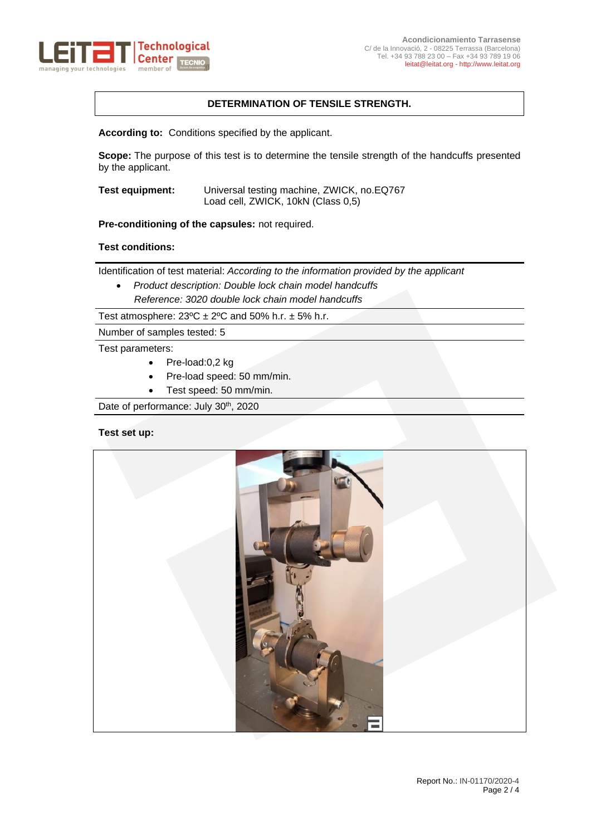

## **DETERMINATION OF TENSILE STRENGTH.**

**According to:** Conditions specified by the applicant.

**Scope:** The purpose of this test is to determine the tensile strength of the handcuffs presented by the applicant.

**Test equipment:** Universal testing machine, ZWICK, no.EQ767 Load cell, ZWICK, 10kN (Class 0,5)

**Pre-conditioning of the capsules:** not required.

### **Test conditions:**

Identification of test material: *According to the information provided by the applicant* 

• *Product description: Double lock chain model handcuffs Reference: 3020 double lock chain model handcuffs*

Test atmosphere:  $23^{\circ}C \pm 2^{\circ}C$  and 50% h.r.  $\pm$  5% h.r.

Number of samples tested: 5

Test parameters:

- Pre-load:0,2 kg
- Pre-load speed: 50 mm/min.
- Test speed: 50 mm/min.

Date of performance: July 30<sup>th</sup>, 2020

#### **Test set up:**

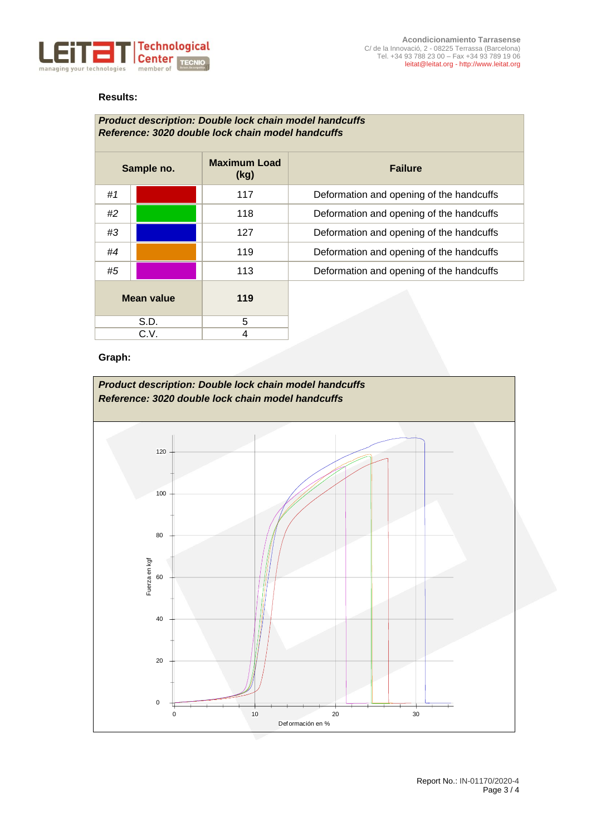

## **Results:**

| <b>Product description: Double lock chain model handcuffs</b><br>Reference: 3020 double lock chain model handcuffs |  |                             |                                          |
|--------------------------------------------------------------------------------------------------------------------|--|-----------------------------|------------------------------------------|
| Sample no.                                                                                                         |  | <b>Maximum Load</b><br>(kg) | <b>Failure</b>                           |
| #1                                                                                                                 |  | 117                         | Deformation and opening of the handcuffs |
| #2                                                                                                                 |  | 118                         | Deformation and opening of the handcuffs |
| #3                                                                                                                 |  | 127                         | Deformation and opening of the handcuffs |
| #4                                                                                                                 |  | 119                         | Deformation and opening of the handcuffs |
| #5                                                                                                                 |  | 113                         | Deformation and opening of the handcuffs |
| <b>Mean value</b>                                                                                                  |  | 119                         |                                          |
| S.D.                                                                                                               |  | 5                           |                                          |
| C.V.                                                                                                               |  | 4                           |                                          |

# **Graph:**